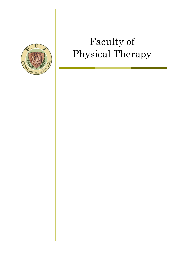

# Faculty of Physical Therapy